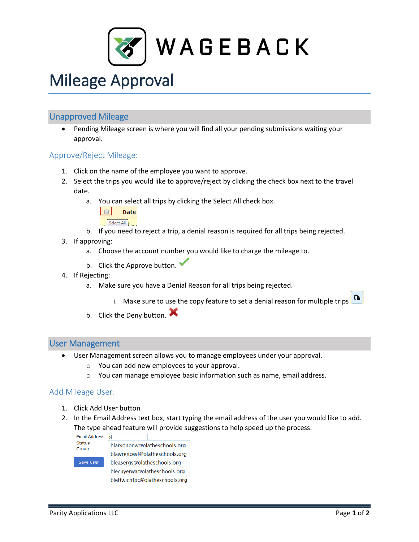

# Mileage Approval

# Unapproved Mileage

 Pending Mileage screen is where you will find all your pending submissions waiting your approval.

#### Approve/Reject Mileage:

- 1. Click on the name of the employee you want to approve.
- 2. Select the trips you would like to approve/reject by clicking the check box next to the travel date.
	- a. You can select all trips by clicking the Select All check box.



- b. If you need to reject a trip, a denial reason is required for all trips being rejected.
- 3. If approving:
	- a. Choose the account number you would like to charge the mileage to.
	- b. Click the Approve button.
- 4. If Rejecting:
	- a. Make sure you have a Denial Reason for all trips being rejected.
	- Û. i. Make sure to use the copy feature to set a denial reason for multiple trips b. Click the Deny button.
	-

#### User Management

- User Management screen allows you to manage employees under your approval.
	- $\circ$  You can add new employees to your approval.
	- o You can manage employee basic information such as name, email address.

## Add Mileage User:

- 1. Click Add User button
- 2. In the Email Address text box, start typing the email address of the user you would like to add. The type ahead feature will provide suggestions to help speed up the process.<br>  $F_{\text{mail Address}}$